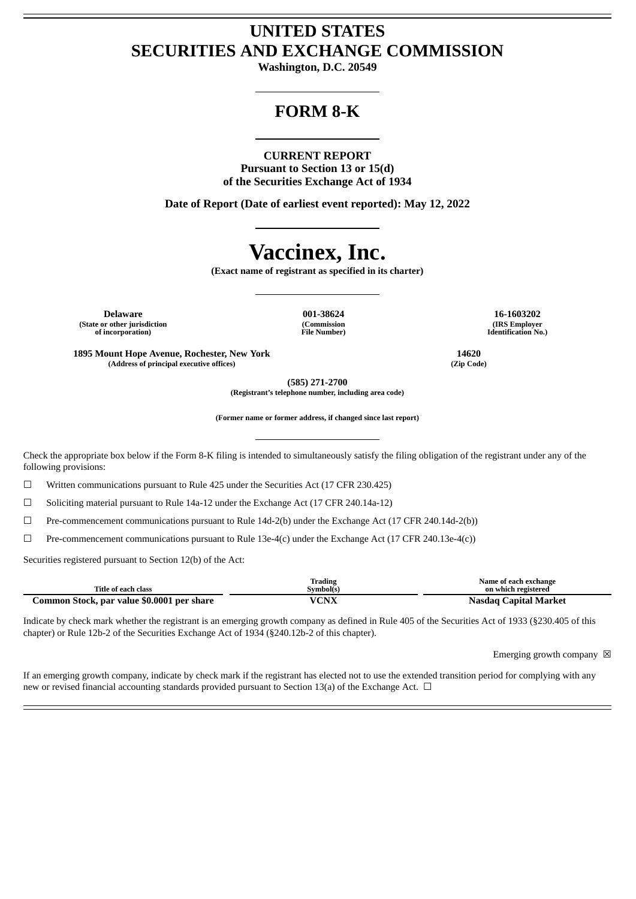## **UNITED STATES SECURITIES AND EXCHANGE COMMISSION**

**Washington, D.C. 20549**

## **FORM 8-K**

#### **CURRENT REPORT**

**Pursuant to Section 13 or 15(d) of the Securities Exchange Act of 1934**

**Date of Report (Date of earliest event reported): May 12, 2022**

# **Vaccinex, Inc.**

**(Exact name of registrant as specified in its charter)**

**Delaware 001-38624 16-1603202 (State or other jurisdiction of incorporation)**

**(Commission File Number)**

**(IRS Employer Identification No.)**

**1895 Mount Hope Avenue, Rochester, New York 14620 (Address of principal executive offices) (Zip Code)**

**(585) 271-2700**

**(Registrant's telephone number, including area code)**

**(Former name or former address, if changed since last report)**

Check the appropriate box below if the Form 8-K filing is intended to simultaneously satisfy the filing obligation of the registrant under any of the following provisions:

☐ Written communications pursuant to Rule 425 under the Securities Act (17 CFR 230.425)

 $\Box$  Soliciting material pursuant to Rule 14a-12 under the Exchange Act (17 CFR 240.14a-12)

☐ Pre-commencement communications pursuant to Rule 14d-2(b) under the Exchange Act (17 CFR 240.14d-2(b))

 $\Box$  Pre-commencement communications pursuant to Rule 13e-4(c) under the Exchange Act (17 CFR 240.13e-4(c))

Securities registered pursuant to Section 12(b) of the Act:

| Title of each class                        | Trading<br>Svmbol(s` | Name of each exchange<br>on which registered |
|--------------------------------------------|----------------------|----------------------------------------------|
| Common Stock, par value \$0.0001 per share | VCNX                 | Nasdag Capital Market                        |

Indicate by check mark whether the registrant is an emerging growth company as defined in Rule 405 of the Securities Act of 1933 (§230.405 of this chapter) or Rule 12b-2 of the Securities Exchange Act of 1934 (§240.12b-2 of this chapter).

Emerging growth company  $\boxtimes$ 

If an emerging growth company, indicate by check mark if the registrant has elected not to use the extended transition period for complying with any new or revised financial accounting standards provided pursuant to Section 13(a) of the Exchange Act.  $\Box$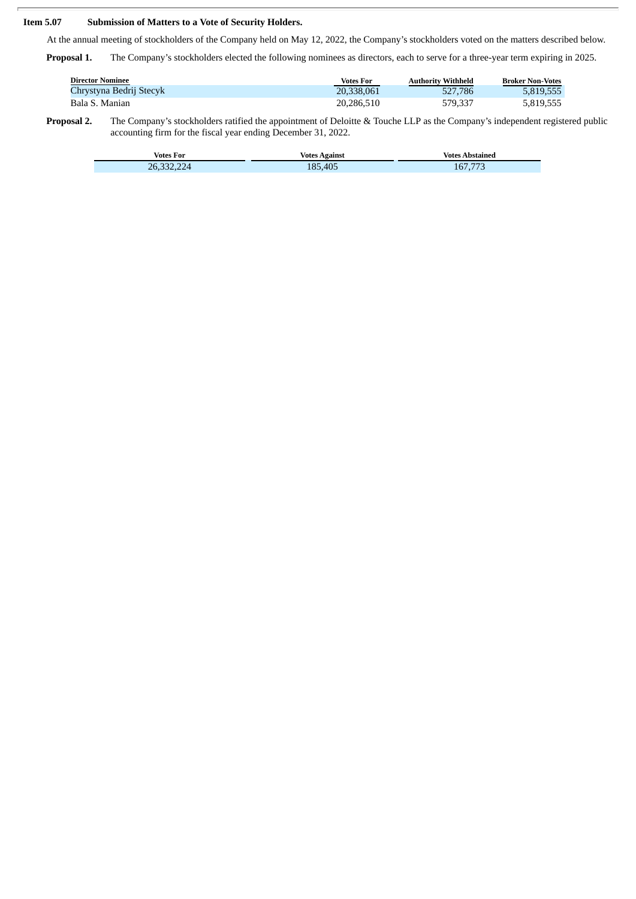### **Item 5.07 Submission of Matters to a Vote of Security Holders.**

At the annual meeting of stockholders of the Company held on May 12, 2022, the Company's stockholders voted on the matters described below.

**Proposal 1.** The Company's stockholders elected the following nominees as directors, each to serve for a three-year term expiring in 2025.

| <b>Director Nominee</b> | Votes For  | <b>Authority Withheld</b> | <b>Broker Non-Votes</b> |
|-------------------------|------------|---------------------------|-------------------------|
| Chrystyna Bedrij Stecyk | 20.338.061 | 527,786                   | 5.819.555               |
| Bala S. Manian          | 20,286,510 | 579,337                   | 5,819,555               |

**Proposal 2.** The Company's stockholders ratified the appointment of Deloitte & Touche LLP as the Company's independent registered public accounting firm for the fiscal year ending December 31, 2022.

| <b>Votes For</b> | <b>Votes Against</b> | Votes $\lambda$<br>Abstained |
|------------------|----------------------|------------------------------|
| 26.              | .405<br>$R^1$        | 167.77                       |